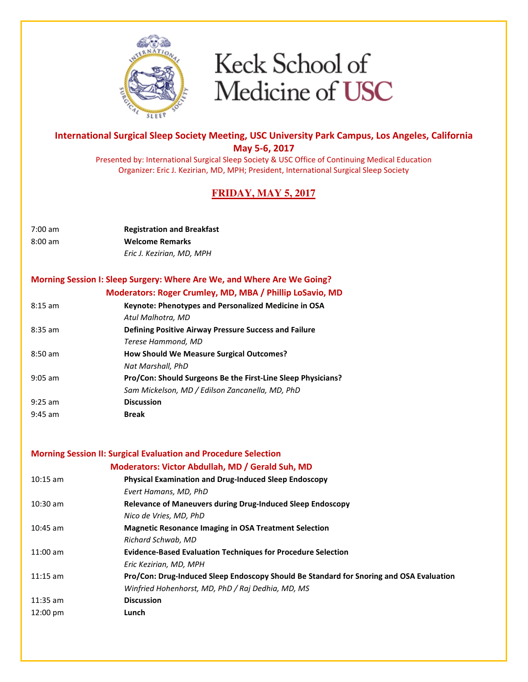

### International Surgical Sleep Society Meeting, USC University Park Campus, Los Angeles, California May 5-6, 2017

Presented by: International Surgical Sleep Society & USC Office of Continuing Medical Education Organizer: Eric J. Kezirian, MD, MPH; President, International Surgical Sleep Society

## **FRIDAY, MAY 5, 2017**

| 7:00 am           | <b>Registration and Breakfast</b> |
|-------------------|-----------------------------------|
| $8:00 \text{ am}$ | <b>Welcome Remarks</b>            |
|                   | Eric J. Kezirian, MD, MPH         |

# Morning Session I: Sleep Surgery: Where Are We, and Where Are We Going?

Moderators: Roger Crumley, MD, MBA / Phillip LoSavio, MD

| $8:15$ am | Keynote: Phenotypes and Personalized Medicine in OSA         |
|-----------|--------------------------------------------------------------|
|           | Atul Malhotra, MD                                            |
| $8:35$ am | Defining Positive Airway Pressure Success and Failure        |
|           | Terese Hammond, MD                                           |
| $8:50$ am | <b>How Should We Measure Surgical Outcomes?</b>              |
|           | Nat Marshall, PhD                                            |
| $9:05$ am | Pro/Con: Should Surgeons Be the First-Line Sleep Physicians? |
|           | Sam Mickelson, MD / Edilson Zancanella, MD, PhD              |
| $9:25$ am | <b>Discussion</b>                                            |
| $9:45$ am | <b>Break</b>                                                 |

#### Morning Session II: Surgical Evaluation and Procedure Selection

|                    | Moderators: Victor Abdullah, MD / Gerald Suh, MD                                        |
|--------------------|-----------------------------------------------------------------------------------------|
| $10:15$ am         | <b>Physical Examination and Drug-Induced Sleep Endoscopy</b>                            |
|                    | Evert Hamans, MD, PhD                                                                   |
| $10:30 \text{ am}$ | Relevance of Maneuvers during Drug-Induced Sleep Endoscopy                              |
|                    | Nico de Vries, MD, PhD                                                                  |
| $10:45$ am         | <b>Magnetic Resonance Imaging in OSA Treatment Selection</b>                            |
|                    | Richard Schwab. MD                                                                      |
| $11:00$ am         | <b>Evidence-Based Evaluation Techniques for Procedure Selection</b>                     |
|                    | Eric Kezirian, MD, MPH                                                                  |
| $11:15$ am         | Pro/Con: Drug-Induced Sleep Endoscopy Should Be Standard for Snoring and OSA Evaluation |
|                    | Winfried Hohenhorst, MD, PhD / Raj Dedhia, MD, MS                                       |
| $11:35$ am         | <b>Discussion</b>                                                                       |
| $12:00 \text{ pm}$ | Lunch                                                                                   |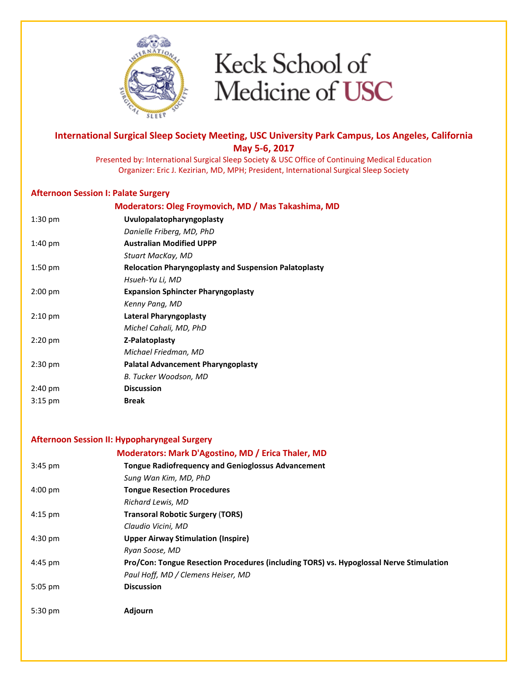

### International Surgical Sleep Society Meeting, USC University Park Campus, Los Angeles, California May 5-6, 2017

Presented by: International Surgical Sleep Society & USC Office of Continuing Medical Education Organizer: Eric J. Kezirian, MD, MPH; President, International Surgical Sleep Society

### Afternoon Session I: Palate Surgery

|                   | Moderators: Oleg Froymovich, MD / Mas Takashima, MD          |
|-------------------|--------------------------------------------------------------|
| $1:30 \text{ pm}$ | Uvulopalatopharyngoplasty                                    |
|                   | Danielle Friberg, MD, PhD                                    |
| $1:40$ pm         | <b>Australian Modified UPPP</b>                              |
|                   | Stuart MacKay, MD                                            |
| $1:50$ pm         | <b>Relocation Pharyngoplasty and Suspension Palatoplasty</b> |
|                   | Hsueh-Yu Li, MD                                              |
| $2:00$ pm         | <b>Expansion Sphincter Pharyngoplasty</b>                    |
|                   | Kenny Pang, MD                                               |
| $2:10 \text{ pm}$ | Lateral Pharyngoplasty                                       |
|                   | Michel Cahali, MD, PhD                                       |
| $2:20$ pm         | Z-Palatoplasty                                               |
|                   | Michael Friedman, MD                                         |
| $2:30$ pm         | <b>Palatal Advancement Pharyngoplasty</b>                    |
|                   | B. Tucker Woodson, MD                                        |
| $2:40 \text{ pm}$ | <b>Discussion</b>                                            |
| $3:15$ pm         | <b>Break</b>                                                 |
|                   |                                                              |

### Afternoon Session II: Hypopharyngeal Surgery

|                   | Moderators: Mark D'Agostino, MD / Erica Thaler, MD                                      |
|-------------------|-----------------------------------------------------------------------------------------|
| $3:45$ pm         | <b>Tongue Radiofrequency and Genioglossus Advancement</b>                               |
|                   | Sung Wan Kim, MD, PhD                                                                   |
| $4:00 \text{ pm}$ | <b>Tongue Resection Procedures</b>                                                      |
|                   | <b>Richard Lewis, MD</b>                                                                |
| $4:15$ pm         | <b>Transoral Robotic Surgery (TORS)</b>                                                 |
|                   | Claudio Vicini, MD                                                                      |
| $4:30 \text{ pm}$ | <b>Upper Airway Stimulation (Inspire)</b>                                               |
|                   | Ryan Soose, MD                                                                          |
| 4:45 pm           | Pro/Con: Tongue Resection Procedures (including TORS) vs. Hypoglossal Nerve Stimulation |
|                   | Paul Hoff, MD / Clemens Heiser, MD                                                      |
| $5:05$ pm         | <b>Discussion</b>                                                                       |
|                   |                                                                                         |
| $5:30$ pm         | Adjourn                                                                                 |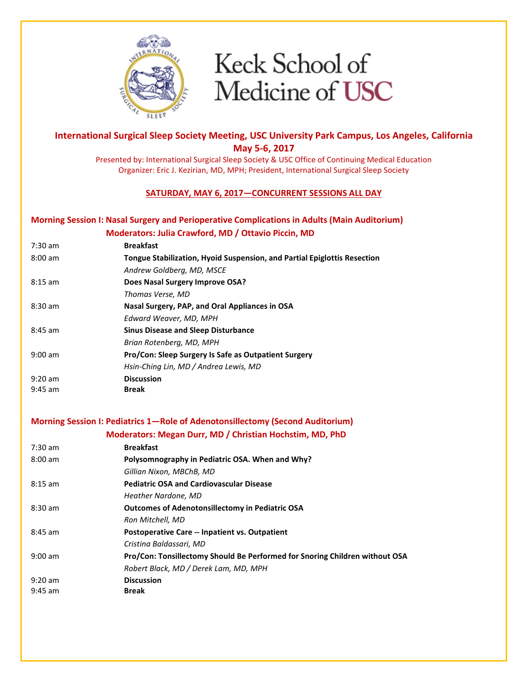

### International Surgical Sleep Society Meeting, USC University Park Campus, Los Angeles, California May 5-6, 2017

Presented by: International Surgical Sleep Society & USC Office of Continuing Medical Education Organizer: Eric J. Kezirian, MD, MPH; President, International Surgical Sleep Society

### SATURDAY, MAY 6, 2017—CONCURRENT SESSIONS ALL DAY

#### Morning Session I: Nasal Surgery and Perioperative Complications in Adults (Main Auditorium)

### Moderators: Julia Crawford, MD / Ottavio Piccin, MD

| $7:30$ am         | <b>Breakfast</b>                                                         |
|-------------------|--------------------------------------------------------------------------|
| $8:00 \text{ am}$ | Tongue Stabilization, Hyoid Suspension, and Partial Epiglottis Resection |
|                   | Andrew Goldberg, MD, MSCE                                                |
| $8:15$ am         | Does Nasal Surgery Improve OSA?                                          |
|                   | Thomas Verse, MD                                                         |
| $8:30$ am         | Nasal Surgery, PAP, and Oral Appliances in OSA                           |
|                   | Edward Weaver, MD, MPH                                                   |
| $8:45$ am         | <b>Sinus Disease and Sleep Disturbance</b>                               |
|                   | Brian Rotenberg, MD, MPH                                                 |
| $9:00$ am         | <b>Pro/Con: Sleep Surgery Is Safe as Outpatient Surgery</b>              |
|                   | Hsin-Ching Lin, MD / Andrea Lewis, MD                                    |
| $9:20$ am         | <b>Discussion</b>                                                        |
| $9:45$ am         | <b>Break</b>                                                             |

#### Morning Session I: Pediatrics 1—Role of Adenotonsillectomy (Second Auditorium)

|                   | Moderators: Megan Durr, MD / Christian Hochstim, MD, PhD                    |
|-------------------|-----------------------------------------------------------------------------|
| $7:30 \text{ am}$ | <b>Breakfast</b>                                                            |
| $8:00$ am         | Polysomnography in Pediatric OSA. When and Why?                             |
|                   | Gillian Nixon, MBChB, MD                                                    |
| $8:15$ am         | <b>Pediatric OSA and Cardiovascular Disease</b>                             |
|                   | Heather Nardone, MD                                                         |
| $8:30$ am         | <b>Outcomes of Adenotonsillectomy in Pediatric OSA</b>                      |
|                   | Ron Mitchell, MD                                                            |
| $8:45$ am         | Postoperative Care -- Inpatient vs. Outpatient                              |
|                   | Cristina Baldassari, MD                                                     |
| $9:00$ am         | Pro/Con: Tonsillectomy Should Be Performed for Snoring Children without OSA |
|                   | Robert Black, MD / Derek Lam, MD, MPH                                       |
| $9:20$ am         | <b>Discussion</b>                                                           |
| $9:45$ am         | <b>Break</b>                                                                |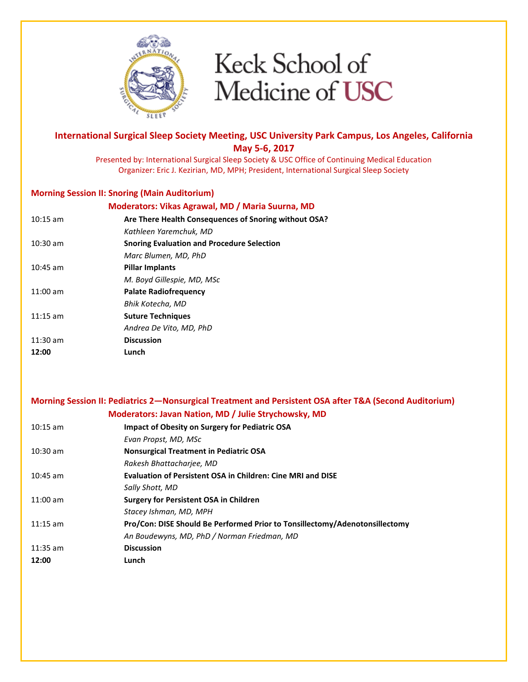

### International Surgical Sleep Society Meeting, USC University Park Campus, Los Angeles, California May 5-6, 2017

Presented by: International Surgical Sleep Society & USC Office of Continuing Medical Education Organizer: Eric J. Kezirian, MD, MPH; President, International Surgical Sleep Society

#### Morning Session II: Snoring (Main Auditorium)

| Moderators: Vikas Agrawal, MD / Maria Suurna, MD      |
|-------------------------------------------------------|
| Are There Health Consequences of Snoring without OSA? |
| Kathleen Yaremchuk. MD                                |
| <b>Snoring Evaluation and Procedure Selection</b>     |
| Marc Blumen, MD, PhD                                  |
| <b>Pillar Implants</b>                                |
| M. Boyd Gillespie, MD, MSc                            |
| <b>Palate Radiofrequency</b>                          |
| Bhik Kotecha, MD                                      |
| <b>Suture Techniques</b>                              |
| Andrea De Vito, MD, PhD                               |
| <b>Discussion</b>                                     |
| Lunch                                                 |
|                                                       |

|            | Morning Session II: Pediatrics 2—Nonsurgical Treatment and Persistent OSA after T&A (Second Auditorium) |
|------------|---------------------------------------------------------------------------------------------------------|
|            | Moderators: Javan Nation, MD / Julie Strychowsky, MD                                                    |
| $10:15$ am | <b>Impact of Obesity on Surgery for Pediatric OSA</b>                                                   |
|            | Evan Propst, MD, MSc                                                                                    |
| $10:30$ am | <b>Nonsurgical Treatment in Pediatric OSA</b>                                                           |
|            | Rakesh Bhattachariee, MD                                                                                |
| $10:45$ am | <b>Evaluation of Persistent OSA in Children: Cine MRI and DISE</b>                                      |
|            | Sally Shott, MD                                                                                         |
| $11:00$ am | <b>Surgery for Persistent OSA in Children</b>                                                           |
|            | Stacey Ishman, MD, MPH                                                                                  |
| $11:15$ am | Pro/Con: DISE Should Be Performed Prior to Tonsillectomy/Adenotonsillectomy                             |
|            | An Boudewyns, MD, PhD / Norman Friedman, MD                                                             |
| $11:35$ am | <b>Discussion</b>                                                                                       |

12:00 Lunch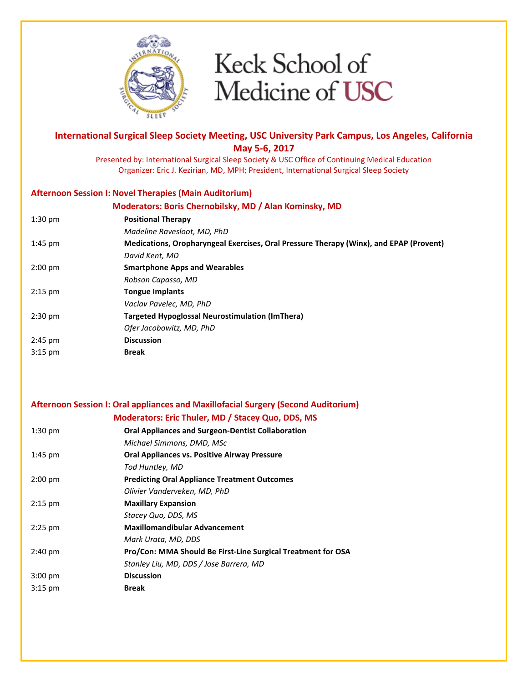

### International Surgical Sleep Society Meeting, USC University Park Campus, Los Angeles, California May 5-6, 2017

Presented by: International Surgical Sleep Society & USC Office of Continuing Medical Education Organizer: Eric J. Kezirian, MD, MPH; President, International Surgical Sleep Society

#### Afternoon Session I: Novel Therapies (Main Auditorium)

| Moderators: Boris Chernobilsky, MD / Alan Kominsky, MD                                 |
|----------------------------------------------------------------------------------------|
| <b>Positional Therapy</b>                                                              |
| Madeline Ravesloot, MD, PhD                                                            |
| Medications, Oropharyngeal Exercises, Oral Pressure Therapy (Winx), and EPAP (Provent) |
| David Kent, MD                                                                         |
| <b>Smartphone Apps and Wearables</b>                                                   |
| Robson Capasso, MD                                                                     |
| <b>Tongue Implants</b>                                                                 |
| Vaclav Pavelec, MD, PhD                                                                |
| Targeted Hypoglossal Neurostimulation (ImThera)                                        |
| Ofer Jacobowitz, MD, PhD                                                               |
| <b>Discussion</b>                                                                      |
| <b>Break</b>                                                                           |
|                                                                                        |

### Afternoon Session I: Oral appliances and Maxillofacial Surgery (Second Auditorium)

|                   | Moderators: Eric Thuler, MD / Stacey Quo, DDS, MS            |
|-------------------|--------------------------------------------------------------|
| $1:30$ pm         | <b>Oral Appliances and Surgeon-Dentist Collaboration</b>     |
|                   | Michael Simmons, DMD, MSc                                    |
| $1:45$ pm         | <b>Oral Appliances vs. Positive Airway Pressure</b>          |
|                   | Tod Huntley, MD                                              |
| $2:00$ pm         | <b>Predicting Oral Appliance Treatment Outcomes</b>          |
|                   | Olivier Vanderveken, MD, PhD                                 |
| $2:15$ pm         | <b>Maxillary Expansion</b>                                   |
|                   | Stacey Quo, DDS, MS                                          |
| $2:25$ pm         | <b>Maxillomandibular Advancement</b>                         |
|                   | Mark Urata, MD, DDS                                          |
| $2:40 \text{ pm}$ | Pro/Con: MMA Should Be First-Line Surgical Treatment for OSA |
|                   | Stanley Liu, MD, DDS / Jose Barrera, MD                      |
| $3:00$ pm         | <b>Discussion</b>                                            |
| $3:15$ pm         | <b>Break</b>                                                 |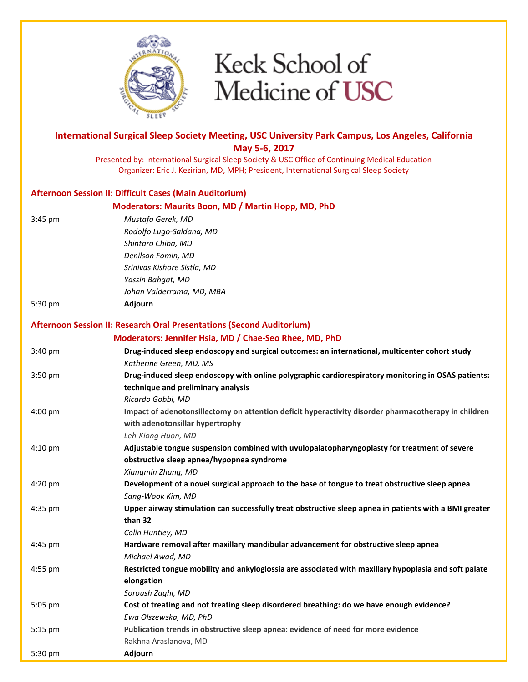![](_page_5_Picture_0.jpeg)

## International Surgical Sleep Society Meeting, USC University Park Campus, Los Angeles, California May 5-6, 2017 Presented by: International Surgical Sleep Society & USC Office of Continuing Medical Education Organizer: Eric J. Kezirian, MD, MPH; President, International Surgical Sleep Society Afternoon Session II: Difficult Cases (Main Auditorium) Moderators: Maurits Boon, MD / Martin Hopp, MD, PhD 3:45 pm Mustafa Gerek, MD Rodolfo Lugo-Saldana, MD Shintaro Chiba, MD Denilson Fomin, MD Srinivas Kishore Sistla, MD Yassin Bahgat, MD Johan Valderrama, MD, MBA 5:30 pm Adjourn Afternoon Session II: Research Oral Presentations (Second Auditorium) Moderators: Jennifer Hsia, MD / Chae-Seo Rhee, MD, PhD 3:40 pm Drug-induced sleep endoscopy and surgical outcomes: an international, multicenter cohort study Katherine Green, MD, MS 3:50 pm Drug-induced sleep endoscopy with online polygraphic cardiorespiratory monitoring in OSAS patients: technique and preliminary analysis Ricardo Gobbi, MD 4:00 pm Impact of adenotonsillectomy on attention deficit hyperactivity disorder pharmacotherapy in children with adenotonsillar hypertrophy Leh-Kiong Huon, MD 4:10 pm Adjustable tongue suspension combined with uvulopalatopharyngoplasty for treatment of severe obstructive sleep apnea/hypopnea syndrome Xiangmin Zhang, MD 4:20 pm Development of a novel surgical approach to the base of tongue to treat obstructive sleep apnea Sang-Wook Kim, MD 4:35 pm Upper airway stimulation can successfully treat obstructive sleep apnea in patients with a BMI greater than 32 Colin Huntley, MD 4:45 pm Hardware removal after maxillary mandibular advancement for obstructive sleep apnea Michael Awad, MD 4:55 pm Restricted tongue mobility and ankyloglossia are associated with maxillary hypoplasia and soft palate elongation Soroush Zaghi, MD 5:05 pm Cost of treating and not treating sleep disordered breathing: do we have enough evidence? Ewa Olszewska, MD, PhD 5:15 pm Publication trends in obstructive sleep apnea: evidence of need for more evidence Rakhna Araslanova, MD 5:30 pm Adjourn